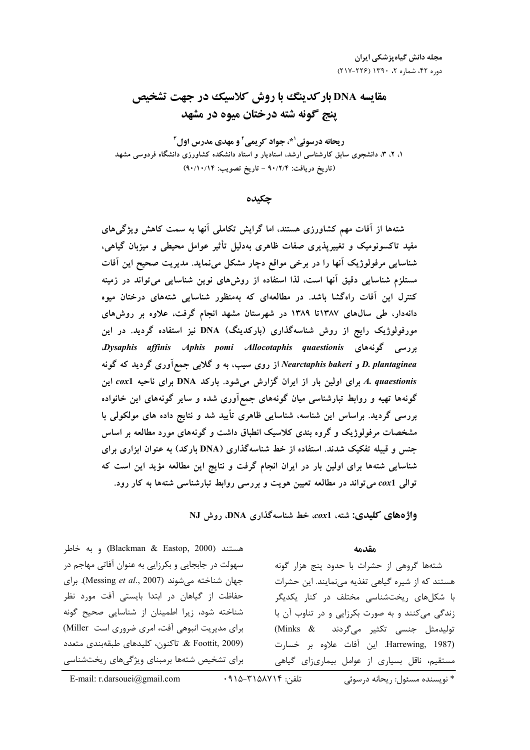# **مقایسه DNA بارکدینگ با روش کلاسیک در جهت تشخیص** ينج گونه شته درختان ميوه در مشهد

ريحانه درسوئي <sup>۱ پ</sup>، جواد کريمي آ و مهدي مدرس اول آ ۱، ۲، ۳، دانشجوی سابق کارشناسی ارشد، استادیار و استاد دانشکده کشاورزی دانشگاه فردوسی مشهد (تاریخ دریافت: ۹۰/۲/۴ – تاریخ تصویب: ۹۰/۱۰/۱۴)

چکیده

شتهها از آفات مهم کشاورزی هستند، اما گرایش تکاملی آنها به سمت کاهش ویژگیهای مفید تاکسونومیک و تغییرپذیری صفات ظاهری بهدلیل تأثیر عوامل محیطی و میزبان گیاهی، شناسایی مرفولوژیک آنها را در برخی مواقع دچار مشکل مینماید. مدیریت صحیح این آفات مستلزم شناسایی دقیق آنها است، لذا استفاده از روشهای نوین شناسایی میتواند در زمینه کنترل این آفات راهگشا باشد. در مطالعهای که بهمنظور شناسایی شتههای درختان میوه دانهدار، طی سال،های ۱۳۸۷تا ۱۳۸۹ در شهرستان مشهد انجام گرفت، علاوه بر روش،های مورفولوژیک رایج از روش شناسهگذاری (بارکدینگ) DNA نیز استفاده گردید. در این بررسی گونههای Dysaphis affinis Aphis pomi Allocotaphis quaestionis D. plantaginea و Nearctaphis bakeri از روی سیب، به و گلابی جمع آوری گردید که گونه A. quaestionis برای اولین بار از ایران گزارش میشود. بارکد DNA برای ناحیه cox1 این گونهها تهیه و روابط تبارشناسی میان گونههای جمعآوری شده و سایر گونههای این خانواده بررسی گردید. براساس این شناسه، شناسایی ظاهری تأیید شد و نتایج داده های مولکولی با مشخصات مرفولوژیک و گروه بندی کلاسیک انطباق داشت و گونههای مورد مطالعه بر اساس جنس و قبیله تفکیک شدند. استفاده از خط شناسهگذاری (DNA بارکد) به عنوان ابزاری برای شناسایی شتهها برای اولین بار در ایران انجام گرفت و نتایج این مطالعه مؤید این است که توالی cox1 می تواند در مطالعه تعیین هویت و بررسی روابط تبارشناسی شتهها به کار رود.

واژههای کلیدی: شته، cox1، خط شناسهگذاری DNA، روش NJ

مقدمه

شتهها گروهی از حشرات با حدود پنج هزار گونه هستند که از شیره گیاهی تغذیه مینمایند. این حشرات با شکلهای ریختشناسی مختلف در کنار یکدیگر زندگی میکنند و به صورت بکرزایی و در تناوب آن با توليدمثل جنسى تكثير مىگردند (Minks & Harrewing, 1987). این آفات علاوه بر خسارت مستقیم، ناقل بسیاری از عوامل بیماریزای گیاهی

هستند (Blackman & Eastop, 2000) و به خاطر سهولت در جابجایی و بکرزایی به عنوان آفاتی مهاجم در جهان شناخته میشوند (Messing et al., 2007). برای حفاظت از گیاهان در ابتدا بایستی آفت مورد نظر شناخته شود، زيرا اطمينان از شناسايي صحيح گونه برای مدیریت انبوهی آفت، امری ضروری است Miller) & Foottit, 2009). تاكنون، كليدهاي طبقهبندي متعدد برای تشخیص شتهها برمبنای ویژگیهای ریختشناسی

تلفن: ۰۹۱۵-۳۱۵۸۷۱۴

E-mail: r.darsouei@gmail.com

\* نویسنده مسئول: , یحانه د, سوئے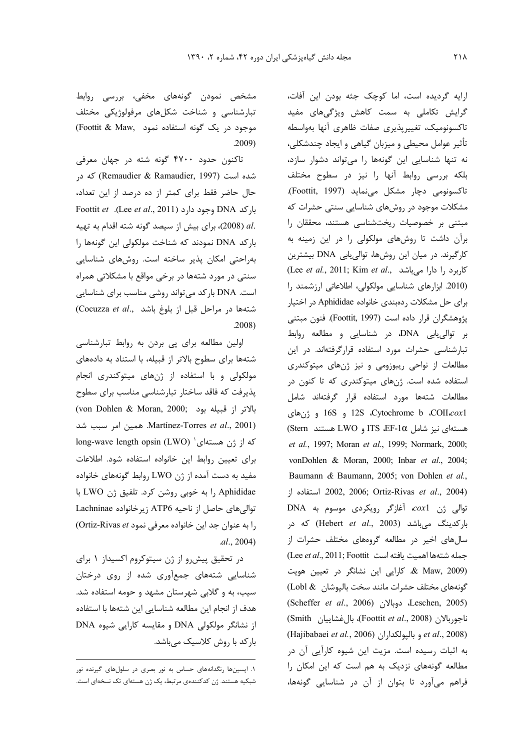ارایه گردیده است، اما کوچک جثه بودن این آفات، گرایش تکاملی به سمت کاهش ویژگیهای مفید تاكسونوميك، تغييرپذيري صفات ظاهري آنها بهواسطه تأثیر عوامل محیطی و میزبان گیاهی و ایجاد چندشکلی، نه تنها شناسایی این گونهها را میتواند دشوار سازد، بلكه بررسى روابط أنها را نيز در سطوح مختلف تاكسونومي دچار مشكل مي نمايد (Foottit, 1997). مشکلات موجود در روشهای شناسایی سنتی حشرات که مبتنی بر خصوصیات ریختشناسی هستند، محققان را برآن داشت تا روشهای مولکولی را در این زمینه به کارگیرند. در میان این روشها، توالی یابی DNA بیشترین (Lee et al., 2011; Kim et al., كاربرد را دارا مى باشد) (2010 ابزارهای شناسایی مولکولی، اطلاعاتی ارزشمند را برای حل مشکلات ردهبندی خانواده Aphididae در اختیار يژوهشگران قرار داده است (Foottit, 1997). فنون مبتنى بر توالی یابی DNA، در شناسایی و مطالعه روابط تبارشناسی حشرات مورد استفاده قرارگرفتهاند. در این مطالعات از نواحی ریبوزومی و نیز ژنهای میتوکندری استفاده شده است. ژنهای میتوکندری که تا کنون در مطالعات شتهها مورد استفاده قرار گرفتهاند شامل Cytochrome b .COII.cox1 و 16S و ژنهای A هستهای نیز شامل ITS ،EF-10 و LWO هستند et al., 1997; Moran et al., 1999; Normark, 2000; vonDohlen & Moran, 2000; Inbar et al., 2004; Baumann & Baumann, 2005; von Dohlen et al., 2002, 2006; Ortiz-Rivas et al., 2004) توالی ژن coxl، آغازگر رویکردی موسوم به DNA بارکدینگ میباشد (Hebert et al., 2003) که در سالهای اخیر در مطالعه گروههای مختلف حشرات از (Lee et al., 2011; Foottit اهميت يافته است & Maw, 2009) ه کارایی این نشانگر در تعیین هویت گونههای مختلف حشرات مانند سخت بالپوشان ٪Lobl & (Scheffer et al., 2006) دوبالان (Leschen, 2005) ناجوربالان (Foottit et al., 2008)، بال غشاييان Smith) (Hajibabaei et al., 2006) و باليولكداران (Hajibabaei et al., 2008) به اثبات رسیده است. مزیت این شیوه کارآیی آن در مطالعه گونههای نزدیک به هم است که این امکان را فراهم میآورد تا بتوان از آن در شناسایی گونهها،

مشخص نمودن گونههای مخفی، بررسی روابط تبارشناسی و شناخت شکلهای مرفولوژیکی مختلف موجود در یک گونه استفاده نمود .Foottit & Maw  $.2009)$ 

تاکنون حدود ۴۷۰۰ گونه شته در جهان معرفی شده است (Remaudier & Ramaudier, 1997) که در حال حاضر فقط برای کمتر از ده درصد از این تعداد، Foottit et .(Lee et al., 2011) وجود دارد (Foottit et .(Lee et al., 2011) .al (2008)، برای بیش از سیصد گونه شته اقدام به تهیه باركد DNA نمودند كه شناخت مولكولي اين گونهها را بهراحتی امکان پذیر ساخته است. روشهای شناسایی سنتی در مورد شتهها در برخی مواقع با مشکلاتی همراه است. DNA بارکد می تواند روشی مناسب برای شناسایی (Cocuzza et al., شتهها در مراحل قبل از بلوغ باشد  $.2008)$ 

اولین مطالعه برای پی بردن به روابط تبارشناسی شتهها برای سطوح بالاتر از قبیله، با استناد به دادههای مولکولی و با استفاده از ژنهای میتوکندری انجام پذیرفت که فاقد ساختار تبارشناسی مناسب برای سطوح (von Dohlen & Moran, 2000; بالاتر از قبيله بود Martínez-Torres et al., 2001). همین امر سبب شد long-wave length opsin (LWO) 'ده از ژن هستهای برای تعیین روابط این خانواده استفاده شود. اطلاعات مفید به دست آمده از ژن LWO روابط گونههای خانواده Aphididae را به خوبی روشن کرد. تلفیق ژن LWO با توالی های حاصل از ناحیه ATP6 زیر خانواده Lachninae را به عنوان جد این خانواده معرفی نمود Ortiz-Rivas et)  $al., 2004)$ 

در تحقیق پیش رو از ژن سیتوکروم اکسیداز ۱ برای شناسایی شتههای جمعآوری شده از روی درختان سیب، به و گلابی شهرستان مشهد و حومه استفاده شد. هدف از انجام این مطالعه شناسایی این شتهها با استفاده از نشانگر مولکولی DNA و مقایسه کارایی شیوه DNA بار کد با روش کلاسیک میباشد.

۱. اپسینها رنگدانههای حساس به نور بصری در سلولهای گیرنده نور شبکیه هستند. ژن کدکنندهی مرتبط، یک ژن هستهای تک نسخهای است.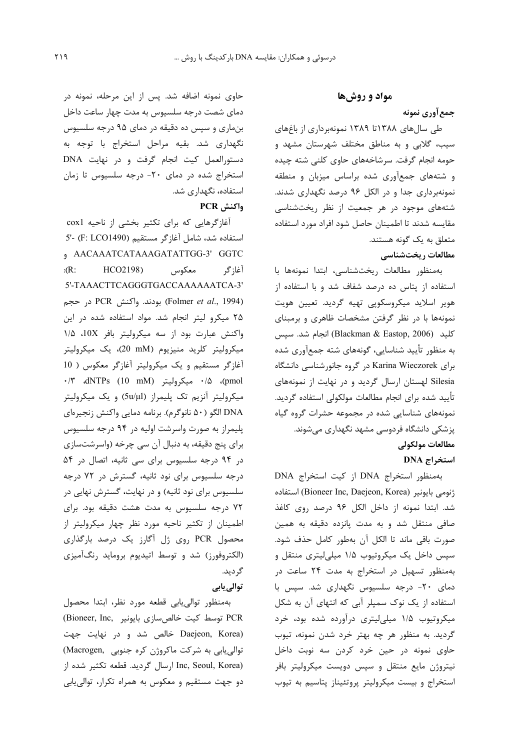## مواد و روشها

## جمع آوري نمونه

طی سالهای ۱۳۸۸تا ۱۳۸۹ نمونهبرداری از باغهای سیب، گلابی و به مناطق مختلف شهرستان مشهد و حومه انجام گرفت. سرشاخههای حاوی کلنی شته چیده و شتههای جمعآوری شده براساس میزبان و منطقه نمونهبرداری جدا و در الکل ۹۶ درصد نگهداری شدند. شتههای موجود در هر جمعیت از نظر ریختشناسی مقايسه شدند تا اطمينان حاصل شود افراد مورد استفاده متعلق به یک گونه هستند.

## مطالعات ريختشناسي

بهمنظور مطالعات ريختشناسي، ابتدا نمونهها با استفاده از پتاس ده درصد شفاف شد و با استفاده از هویر اسلاید میکروسکوپی تهیه گردید. تعیین هویت نمونهها با در نظر گرفتن مشخصات ظاهری و برمبنای كليد (Blackman & Eastop, 2006) انجام شد. سيس به منظور تأييد شناسايي، گونههاي شته جمعآوري شده برای Karina Wieczorek در گروه جانورشناسی دانشگاه Silesia لهستان ارسال گردید و در نهایت از نمونههای تأييد شده براي انجام مطالعات مولكولي استفاده گرديد. نمونههای شناسایی شده در مجموعه حشرات گروه گیاه پزشکی دانشگاه فردوسی مشهد نگهداری میشوند. مطالعات مولكولي **DNA** استخراج

بهمنظور استخراج DNA از کیت استخراج DNA ونومي بايونير (Bioneer Inc, Daejeon, Korea) استفاده شد. ابتدا نمونه از داخل الکل ۹۶ درصد روی کاغذ صافی منتقل شد و به مدت پانزده دقیقه به همین صورت باقي ماند تا الكل آن بهطور كامل حذف شود. سیس داخل یک میکروتیوب ۱/۵ میلیلیتری منتقل و بهمنظور تسهیل در استخراج به مدت ۲۴ ساعت در دمای ۲۰- درجه سلسیوس نگهداری شد. سپس با استفاده از یک نوک سمپلر آبی که انتهای آن به شکل میکروتیوب ۱/۵ میلی لیتری درآورده شده بود، خرد گردید. به منظور هر چه بهتر خرد شدن نمونه، تیوب حاوی نمونه در حین خرد کردن سه نوبت داخل نیتروژن مایع منتقل و سپس دویست میکرولیتر بافر استخراج و بیست میکرولیتر پروتئیناز پتاسیم به تیوب

حاوی نمونه اضافه شد. پس از این مرحله، نمونه در دمای شصت درجه سلسیوس به مدت چهار ساعت داخل بنماری و سپس ده دقیقه در دمای ۹۵ درجه سلسیوس نگهداری شد. بقیه مراحل استخراج با توجه به دستورالعمل کیت انجام گرفت و در نهایت DNA استخراج شده در دمای ٢٠- درجه سلسیوس تا زمان استفاده، نگهداری شد.

# واكنش PCR

آغازگرهایی که برای تکثیر بخشی از ناحیه cox1 استفاده شد، شامل آغازگر مستقیم (F: LCO1490) -'5 , AACAAATCATAAAGATATTGG-3' GGTC  $: R:$ HCO2198) معكوس آغا; گر 5'-TAAACTTCAGGGTGACCAAAAAATCA-3' (Folmer et al., 1994) بودند. واكنش PCR در حجم ۲۵ میکرو لیتر انجام شد. مواد استفاده شده در این واکنش عبارت بود از سه میکرولیتر بافر 10X، ۱/۵ میکرولیتر کلرید منیزیوم (20 mM)، یک میکرولیتر آغازگر مستقیم و یک میکرولیتر آغازگر معکوس ( 10 ./٣ (pmol)، ۴/۵ میکرولیتر (dNTPs (10 mM)، ۰/۳ میکرولیتر آنزیم تک پلیمراز (5u/µl) و یک میکرولیتر DNA الگو (۵۰ نانوگرم). برنامه دمايي واكنش زنجيرهاي پلیمراز به صورت واسرشت اولیه در ۹۴ درجه سلسیوس برای پنج دقیقه، به دنبال آن سی چرخه (واسرشتسازی در ۹۴ درجه سلسیوس برای سی ثانیه، اتصال در ۵۴ درجه سلسیوس برای نود ثانیه، گسترش در ۷۲ درجه سلسیوس برای نود ثانیه) و در نهایت، گسترش نهایی در ۷۲ درجه سلسیوس به مدت هشت دقیقه بود. برای اطمینان از تکثیر ناحیه مورد نظر چهار میکرولیتر از محصول PCR روی ژل آگارز یک درصد بارگذاری (الكتروفورز) شد و توسط اتيديوم برومايد رنگآميزي گر دید. توالی پاہی

بهمنظور توالى يابى قطعه مورد نظر، ابتدا محصول PCR توسط کیت خالص سازی بایونیر Bioneer, Inc, Daejeon, Korea) خالص شد و در نهایت جهت توالی یابی به شرکت ماکروژن کره جنوبی (Macrogen) Inc, Seoul, Korea) ارسال گردید. قطعه تکثیر شده از دو جهت مستقیم و معکوس به همراه تکرار، توالی پابی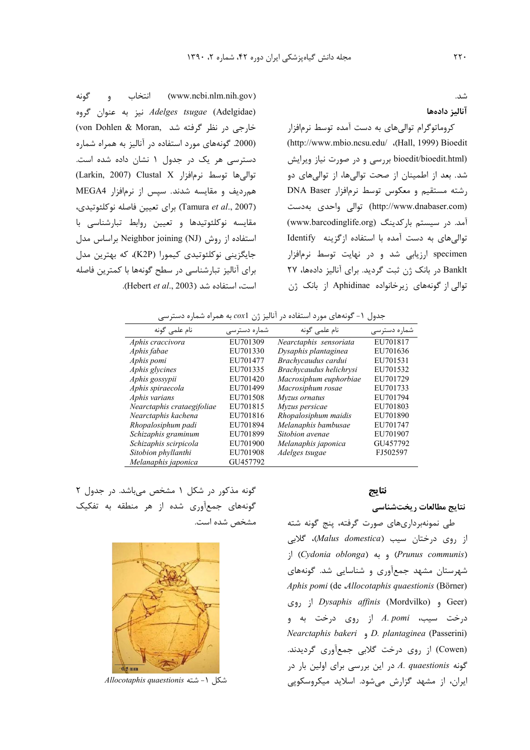(www.ncbi.nlm.nih.gov) انتخاب و گونه *Adelges tsugae* (Adelgidae) نيز به عنوان گروه خارجی در نظر گرفته شد .(von Dohlen & Moran (2000. گونههای مورد استفاده در آنالیز به همراه شماره دسترسی هر یک در جدول ۱ نشان داده شده است. توالى ها توسط نرمافزار Clustal X (Larkin, 2007) همردیف و مقایسه شدند. سپس از نرمافزار MEGA4 (Tamura et al., 2007) برای تعیین فاصله نوکلئوتیدی، مقایسه نوکلئوتیدها و تعیین روابط تبارشناسی با استفاده از روش Neighbor joining (NJ) براساس مدل جايگزيني نوكلئوتيدي كيمورا (K2P)، كه بهترين مدل برای آنالیز تبارشناسی در سطح گونهها با کمترین فاصله است، استفاده شد (Hebert et al., 2003).

## آناليز دادهها

کروماتوگرام توالیهای به دست آمده توسط نرمافزار (http://www.mbio.ncsu.edu/ .(Hall, 1999) Bioedit bioedit/bioedit.html) بررسی و در صورت نیاز ویرایش شد. بعد از اطمینان از صحت توالیها، از توالیهای دو رشته مستقیم و معکوس توسط نرمافزار DNA Baser (http://www.dnabaser.com) توالی واحدی بهدست آمد. در سیستم بارکدینگ (www.barcodinglife.org) توالی های به دست آمده با استفاده از گزینه Identify specimen ارزیابی شد و در نهایت توسط نرمافزار Banklt در بانک ژن ثبت گردید. برای آنالیز دادهها، ۲۷ توالی از گونههای زیرخانواده Aphidinae از بانک ژن

|  |  |  | جدول ۱- گونههای مورد استفاده در آنالیز ژن $\mathit{cx1}$ به همراه شماره دسترسی |  |
|--|--|--|--------------------------------------------------------------------------------|--|
|  |  |  |                                                                                |  |

| نام علمی گونه              | شمارہ دسترسے | نام علمی گونه           | شماره دسترسى |
|----------------------------|--------------|-------------------------|--------------|
| Aphis craccivora           | EU701309     | Nearctaphis sensoriata  | EU701817     |
| Aphis fabae                | EU701330     | Dysaphis plantaginea    | EU701636     |
| Aphis pomi                 | EU701477     | Brachycaudus cardui     | EU701531     |
| Aphis glycines             | EU701335     | Brachycaudus helichrysi | EU701532     |
| Aphis gossypii             | EU701420     | Macrosiphum euphorbiae  | EU701729     |
| Aphis spiraecola           | EU701499     | Macrosiphum rosae       | EU701733     |
| Aphis varians              | EU701508     | Myzus ornatus           | EU701794     |
| Nearctaphis crataegifoliae | EU701815     | Myzus persicae          | EU701803     |
| Nearctaphis kachena        | EU701816     | Rhopalosiphum maidis    | EU701890     |
| Rhopalosiphum padi         | EU701894     | Melanaphis bambusae     | EU701747     |
| Schizaphis graminum        | EU701899     | Sitobion avenae         | EU701907     |
| Schizaphis scirpicola      | EU701900     | Melanaphis japonica     | GU457792     |
| Sitobion phyllanthi        | EU701908     | Adelges tsugae          | FJ502597     |
| Melanaphis japonica        | GU457792     |                         |              |

#### نتايج

## نتايج مطالعات ريختشناسي

طی نمونهبرداریهای صورت گرفته، پنج گونه شته از روی درختان سیب (Malus domestica)، گلابی ; (Cydonia oblonga) و به (Cydonia oblonga) شهرستان مشهد جمعآوری و شناسایی شد. گونههای Aphis pomi (de Allocotaphis quaestionis (Börner) Geer) و (Mordvilko) و (Pysaphis affinis (Mordvilko درخت سیب، A. pomi از روی درخت به و Nearctaphis bakeri , D. plantaginea (Passerini) (Cowen) از روی درخت گلابی جمعآوری گردیدند. گونه A. quaestionis در این بررسی برای اولین بار در ایران، از مشهد گزارش می شود. اسلاید میکروسکویی

گونه مذکور در شکل ۱ مشخص میباشد. در جدول ۲ گونههای جمعآوری شده از هر منطقه به تفکیک مشخص شده است.



شكل ١- شته Allocotaphis quaestionis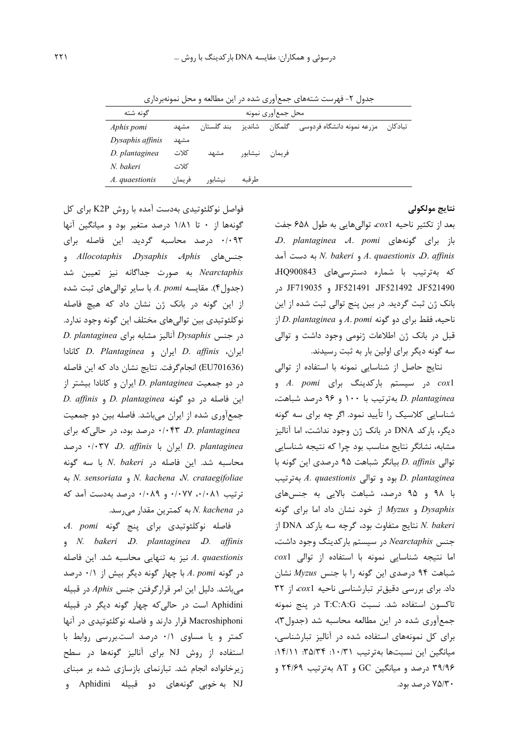جدول ۲- فهرست شتههای جمعآوری شده در این مطالعه و محل نمونهبرداری

| گونه شته         |        | محل جمع ورى نمونه |         |        |                                    |  |  |  |  |
|------------------|--------|-------------------|---------|--------|------------------------------------|--|--|--|--|
| Aphis pomi       | مشهد   | ىند گلستان        | شانديز  | گلمکان | تبادكان مزرعه نمونه دانشگاه فردوسی |  |  |  |  |
| Dysaphis affinis | مشهد   |                   |         |        |                                    |  |  |  |  |
| D. plantaginea   | كلات   | مشهد              | نيشابور | فريمان |                                    |  |  |  |  |
| N. bakeri        | كلات   |                   |         |        |                                    |  |  |  |  |
| A. quaestionis   | فريمان | نيشابور           | ط قىه   |        |                                    |  |  |  |  |

## نتايج مولكولي

بعد از تكثير ناحيه cox1، تواليهايي به طول ۶۵۸ جفت D. plantaginea A. pomi باز برای گونههای به دست آمد N. bakeri و N. bakeri به دست آمد كه بهترتيب با شماره دسترسى هاى HQ900843، JF521490 JF521491 JF521491 در بانک ژن ثبت گردید. در بین پنج توالی ثبت شده از این  $|D.$  plantaginea و A. pomi دو گونه A. pomi قبل در بانک ژن اطلاعات ژنومی وجود داشت و توالی سه گونه دیگر برای اولین بار به ثبت رسیدند.

نتایج حاصل از شناسایی نمونه با استفاده از توالی coxl در سیستم بارکدینگ برای A. pomi D. plantaginea بهترتيب با ١٠٠ و ٩۶ درصد شباهت، شناسایی کلاسیک را تأیید نمود. اگر چه برای سه گونه دیگر، بارکد DNA در بانک ژن وجود نداشت، اما آنالیز مشابه، نشانگر نتایج مناسب بود چرا که نتیجه شناسایی توالی D. affinis بیانگر شباهت ۹۵ درصدی این گونه با بهترتیب A. quaestionis بود و توالی A. quaestionis با ۹۸ و ۹۵ درصد، شباهت بالایی به جنسهای و  $Myzus$  از خود نشان داد اما برای گونه  $Dysaphis$ نتايج متفاوت بود، گرچه سه باركد DNA از  $N.~bakeri$ جنس Nearctaphis در سیستم بارکدینگ وجود داشت،  $\cos 1$  اما نتیجه شناسایی نمونه با استفاده از توالی شباهت ۹۴ درصدی این گونه را با جنس Myzus نشان داد. برای بررسی دقیقتر تبارشناسی ناحیه cox1، از ٣٢ تاكسون استفاده شد. نسبت T:C:A:G در ينج نمونه جمع آوری شده در این مطالعه محاسبه شد (جدول۳)، برای کل نمونههای استفاده شده در آنالیز تبارشناسی، میانگین این نسبتها بهترتیب ۰/ ۰/ ۱۰: ۳۵/۲۴: ۱۴/۱۱: ۳۹/۹۶ درصد و میانگین GC و AT بهترتیب ۲۴/۶۹ و ۷۵/۳۰ درصد بود.

فواصل نوکلئوتیدی بهدست آمده با روش K2P برای کل گونهها از ۰ تا ۱/۸۱ درصد متغیر بود و میانگین آنها ۰/۰۹۳ درصد محاسبه گردید. این فاصله برای جنس های *Allocotaphis Dysaphis Aphis* و Nearctaphis به صورت جداگانه نیز تعیین شد (جدول۴). مقايسه A. pomi با ساير توالي هاي ثبت شده از این گونه در بانک ژن نشان داد که هیچ فاصله نوكلئوتيدي بين تواليهاي مختلف اين گونه وجود ندارد. D. plantaginea بار مشابه برای Dysaphis ايران، D. *affinis اير*ان و D. Plantaginea (EU701636) انجام گرفت. نتايج نشان داد كه اين فاصله در دو جمعیت D. plantaginea ایران و کانادا بیشتر از D. affinis و D. plantaginea و D. affinis جمعآوری شده از ایران می باشد. فاصله بین دو جمعیت ۰/۰۴۳ D. plantaginea درصد بود، در حالی که برای درصد ۰/۰۳۷ D. affinis ایران با ۰/۰۳۷ درصد محاسبه شد. این فاصله در N. bakeri با سه گونه به N. sensoriata و N. kachena W. crataegifoliae ترتیب ۰/۰۷۷ ۰/۰۷۷ و ۰/۰۸۹ درصد بهدست آمد که  $N.$  kachena در  $N.$  kachena به کمترین مقدار می

فاصله نوكلئوتيدى براى پنج گونه A. pomi , N. bakeri D. plantaginea D. affinis نیز به تنهایی محاسبه شد. این فاصله  $A.$  quaestionis  $\cdot$ در گونه A. pomi با چهار گونه دیگر بیش از ۰/۱ درصد میباشد. دلیل این امر قرارگرفتن جنس Aphis در قبیله Aphidini است در حالي كه چهار گونه ديگر در قبيله Macroshiphoni قرار دارند و فاصله نوکلئوتیدی در آنها کمتر و یا مساوی ۰/۱ درصد است.بررسی روابط با استفاده از روش NJ برای آنالیز گونهها در سطح زیرخانواده انجام شد. تبارنمای بازسازی شده بر مبنای NJ به خوبی گونههای دو قبیله Aphidini و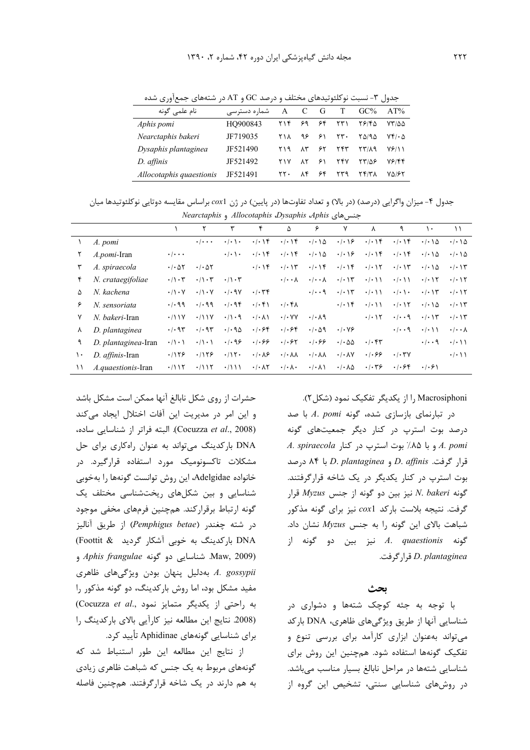جدول ۳- نسبت نوکلئوتیدهای مختلف و درصد GC و AT در شتههای جمعآوری شده

| نام علمی گونه            | شماره دسترسی | A   |             | G  | Т   | $GC\%$ | AT%          |
|--------------------------|--------------|-----|-------------|----|-----|--------|--------------|
| Aphis pomi               | HO900843     | ۲۱۴ | ۶۹          | ۶۴ | ۲۳۱ | ۲۶۱۴۵  | ۷۳/۵۵        |
| Nearctaphis bakeri       | JF719035     | ۲۱۸ | ۹۶          | ۶۱ | ۲۳. | ۲۵/۹۵  | ۷۴/۰۵        |
| Dysaphis plantaginea     | JF521490     | ۲۱۹ | $\Lambda$ ۳ | ۶۲ | ۲۴۳ | ۲۳/۸۹  | <b>VEISS</b> |
| D. affinis               | JF521492     | ۲۱۷ | ۸٢          | ۶۱ | ۲۴۷ | ۱۳/۵۶  | ۷۶/۴۴        |
| Allocotaphis quaestionis | JF521491     | ۲۲۰ | Λ۴          | ۶۴ | ۲۳۹ | ۲۴/۳۸  | ۷۵/۶۲        |

جدول ۴- ميزان واگرايي (درصد) (در بالا) و تعداد تفاوتها (در پايين) در ژن cox1 براساس مقايسه دوتايي نوكلئوتيدها ميان حنس هاي Nearctaphis و Allocotaphis Dysaphis Aphis

|    | expansional company applies to be the |                                 |                                 |                             |                                   |                                         |                                 |                                     |                            |                                        |                                   |                                     |
|----|---------------------------------------|---------------------------------|---------------------------------|-----------------------------|-----------------------------------|-----------------------------------------|---------------------------------|-------------------------------------|----------------------------|----------------------------------------|-----------------------------------|-------------------------------------|
|    |                                       |                                 |                                 |                             | ۴                                 | ۵                                       | ۶                               | ٧                                   | ٨                          | ٩                                      | $\bullet$                         | ۱۱                                  |
|    | A. pomi                               |                                 | $\cdot$ / $\cdot$ $\cdot$       | $\cdot \cdot \cdot \cdot$   | $. -$                             | .4.19                                   | $\cdot$ / $\cdot$ \ $\Delta$    | $\cdot$   $\cdot$   $\epsilon$      | $. -$                      | $. -$                                  | $\cdot$ / $\cdot$ \ $\Delta$      | $\cdot$ / $\cdot$ \ $\Delta$        |
|    | A.pomi-Iran                           | $\cdot$ / $\cdot$ $\cdot$       |                                 | $\cdot$ / $\cdot$ \ $\cdot$ | .4.14                             | $\cdot/\cdot$ \ ۴                       | $\cdot/\cdot \setminus \Delta$  | $\cdot$   $\cdot$   $\epsilon$      | $\cdot/\cdot$ \ ۴          | $. -$                                  | $\cdot/\cdot \setminus \Delta$    | $\cdot$ / $\cdot$ $\wedge$ $\wedge$ |
| ٣  | A. spiraecola                         | $\cdot$ / $\cdot$ $\Delta \tau$ | $\cdot$ / $\cdot$ $\Delta \tau$ |                             | $\cdot/\cdot$ \ f                 | $\cdot$   $\cdot$   $\tau$              | $\cdot$   $\cdot$   $\uparrow$  | $\cdot$   $\cdot$   ۴               | $\cdot$ / $\cdot$ / $\tau$ | $\cdot$ $\cdot$ $\setminus$ $\uparrow$ | $\cdot$ / $\cdot$ / $\Delta$      | $\cdot$ $\cdot$ $\uparrow$          |
| ۴  | N. crataegifoliae                     | $\cdot/\cdot$ ۳                 | $\cdot/\cdot$ $\tau$            | $\cdot/\cdot$ ۳             |                                   | $\cdot$ / $\cdot$ $\wedge$              | $\cdot/\cdot\cdot\Lambda$       | $\cdot$   $\cdot$   $\tau$          | $\cdot/\cdot$ ) )          | $\cdot$ / $\cdot$ \ \                  | $\cdot/\cdot$ ) $\Upsilon$        | $\cdot$ $\cdot$ $\wedge$ $\vee$     |
| ۵  | N. kachena                            | $\cdot/\rangle \cdot \gamma$    | $\cdot/\rangle \cdot \gamma$    | $\cdot$ / $\cdot$ 9Y        | $\cdot/\cdot$ ۳۴                  |                                         | $\cdot/\cdot\cdot$ 9            | $\cdot/\cdot \setminus \tau$        | $\cdot/\cdot$ ) )          | $\cdot$ / $\cdot$ \ $\cdot$            |                                   | $\cdot/\cdot$ ) $\Upsilon$          |
| ۶  | N. sensoriata                         | .499                            | .499                            | .496                        | $. -F $                           | $\cdot$ / $\cdot$ $\uparrow$ $\uparrow$ |                                 | $\cdot$   $\cdot$   $\epsilon$      | $\cdot$ / $\cdot$ \ \      | $\cdot$ / $\cdot$ / $\tau$             | $\cdot$ / $\cdot$ / $\Delta$      | $\cdot/\cdot$ \ $\uparrow$          |
| ٧  | N. bakeri-Iran                        | .711Y                           | .711Y                           | $\cdot/\cdot$ 9             | $\cdot/\cdot$ $\wedge$ $\wedge$   | $\cdot$ / $\cdot$ YY                    | $\cdot/\cdot \wedge$ ٩          |                                     | $\cdot$ / $\cdot$ / $\tau$ | $\cdot$ / $\cdot$ 9                    |                                   | $\cdot/\cdot$ ) $\Upsilon$          |
| ٨  | D. plantaginea                        | $\cdot$ / $\cdot$ 95            | .4.95                           | $\cdot$ / $\cdot$ 95        | .1.84                             | .1.94                                   | $\cdot$ / $\cdot$ $\wedge$ 9    | $\cdot$ / $\cdot$ $\vee$ $\circ$    |                            | $\cdot$ / $\cdot$ 9                    | $\cdot$ / $\cdot$ \ \             | $\cdot$ / $\cdot$ $\wedge$          |
| ٩  | D. plantaginea-Iran                   | $\cdot/\cdot$                   | $\cdot/\cdot$                   | .499                        | .1.88                             | .1.57                                   | .1.88                           | $\cdot$ / $\cdot$ $\Delta\Delta$    | .4.54                      |                                        | $\cdot$ / $\cdot$ 9               | $\cdot/\cdot$ ) )                   |
| ۱۰ | D. <i>affinis</i> -Iran               | .1159                           | .1159                           | .715                        | $\cdot$ / $\cdot$ / $\epsilon$    | $\cdot/\cdot$ $\wedge\wedge$            | $\cdot/\cdot \wedge \wedge$     | $\cdot$ / $\cdot$ $\wedge$ Y        | .1.89                      | $\cdot$ / $\cdot$ $\uparrow$ $\vee$    |                                   | $\cdot$ / $\cdot$ \ \               |
| ۱۱ | <i>A.quaestionis-Iran</i>             | .7117                           | .7117                           | $\cdot/111$                 | $\cdot/\cdot$ $\wedge$ $\Upsilon$ | $\cdot$ / $\cdot$ $\wedge$ $\cdot$      | $\cdot/\cdot$ $\wedge$ $\wedge$ | $\cdot$ / $\cdot$ $\wedge$ $\Delta$ | .1.79                      | .1.84                                  | $\cdot$ / $\cdot$ $\cdot$ $\cdot$ |                                     |

#### Macrosiphoni را از یکدیگر تفکیک نمود (شکل ۲).

 $A. p$ oni مر تبارنمای بازسازی شده، گونه  $A. p$  با صد درصد بوت استرپ در کنار دیگر جمعیتهای گونه A. spiraecola و با ٨٥٪ بوت استرپ در کنار A. spiraecola قرار گرفت. D. affinis و D. plantaginea با ۸۴ درصد بوت استرپ در کنار یکدیگر در یک شاخه قرارگرفتند.  $Myzus$  گونه N. bakeri نیز بین دو گونه از جنس Myzus قرار گرفت. نتیجه بلاست بارکد cox1 نیز برای گونه مذکور شباهت بالای این گونه را به جنس Myzus نشان داد.  $A.$  *quaestionis* کونه از A. quaestionis D. plantaginea قرا, گرفت.

#### بحث

با توجه به جثه کوچک شتهها و دشواری در شناسایی آنها از طریق ویژگیهای ظاهری، DNA بارکد می تواند به عنوان ابزاری کارآمد برای بررسی تنوع و تفکیک گونهها استفاده شود. همچنین این روش برای شناسایی شتهها در مراحل نابالغ بسیار مناسب میباشد. در روشهای شناسایی سنتی، تشخیص این گروه از

حشرات از روى شكل نابالغ آنها ممكن است مشكل باشد و این امر در مدیریت این آفات اختلال ایجاد میکند (Cocuzza et al., 2008). البته فراتر از شناسايي ساده، DNA بارکدینگ می تواند به عنوان راهکاری برای حل مشکلات تاکسونومیک مورد استفاده قرارگیرد. در خانواده Adelgidae، این روش توانست گونهها را بهخوبی شناسایی و بین شکلهای ریختشناسی مختلف یک گونه ارتباط برقراركند. همچنین فرمهای مخفی موجود در شته چغندر (Pemphigus betae) از طريق آناليز DNA بارکدینگ به خوبی آشکار گردید Foottit & Aphis frangulae شناسايي دو گونه Aphis frangulae A. gossypii بەدليل پنهان بودن ويژگىهاى ظاهرى مفید مشکل بود، اما روش بارکدینگ، دو گونه مذکور را به راحتی از یکدیگر متمایز نمود .(Cocuzza et al) (2008. نتايج اين مطالعه نيز كارآيي بالاي باركدينگ را برای شناسایی گونههای Aphidinae تأیید کرد.

از نتايج اين مطالعه اين طور استنباط شد كه گونههای مربوط به یک جنس که شباهت ظاهری زیادی به هم دارند در یک شاخه قرارگرفتند. همچنین فاصله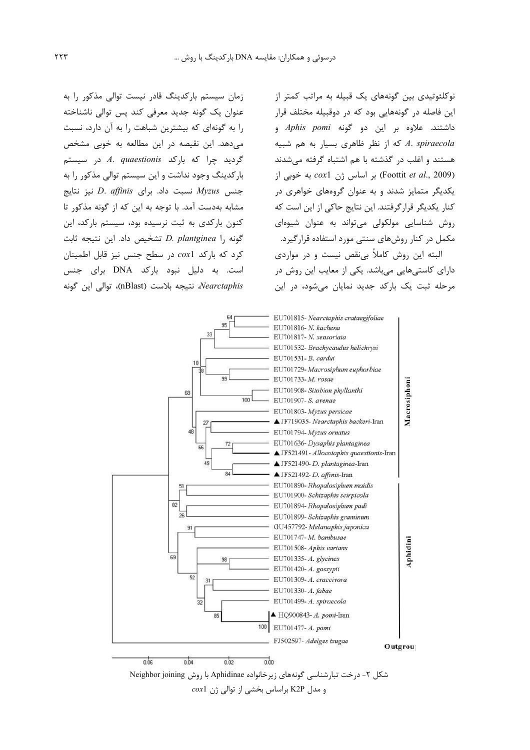زمان سیستم بارکدینگ قادر نیست توالی مذکور را به عنوان یک گونه جدید معرفی کند پس توالی ناشناخته را به گونهای که بیشترین شباهت را به آن دارد، نسبت می دهد. این نقیصه در این مطالعه به خوبی مشخص گردید چرا که بارکد A. quaestionis در سیستم بارکدینگ وجود نداشت و این سیستم توالی مذکور را به  $D.$  affinis نسبت داد. برای D. affinis جنس  $Myzus$ مشابه بهدست آمد. با توجه به این که از گونه مذکور تا کنون بارکدی به ثبت نرسیده بود، سیستم بارکد، این  $D.$  plantginea متشخيص داد. اين نتيجه ثابت كرد كه باركد cox1 در سطح جنس نيز قابل اطمينان است. به دلیل نبود بارکد DNA برای جنس Nearctaphis، نتيجه بلاست (nBlast)، توالي اين گونه

نوکلئوتیدی بین گونههای یک قبیله به مراتب کمتر از این فاصله در گونههایی بود که در دوقبیله مختلف قرار داشتند. علاوه بر این دو گونه Aphis pomi و که از نظر ظاهری بسیار به هم شبیه A. spiraecola هستند و اغلب در گذشته با هم اشتباه گرفته میشدند (Foottit et al., 2009) بر اساس ژن cox1 به خوبی از یکدیگر متمایز شدند و به عنوان گروههای خواهری در کنار یکدیگر قرارگرفتند. این نتایج حاکی از این است که روش شناسایی مولکولی میتواند به عنوان شیوهای مکمل در کنار روشهای سنتی مورد استفاده قرارگیرد. البته این روش کاملاً بی نقص نیست و در مواردی دارای کاستیهایی میباشد. یکی از معایب این روش در مرحله ثبت یک بارکد جدید نمایان میشود، در این



شکل ۲- درخت تبارشناسی گونههای زیرخانواده Aphidinae با روش Neighbor joining  $\cos 1$ و مدل K2P براساس بخشی از توالی ژن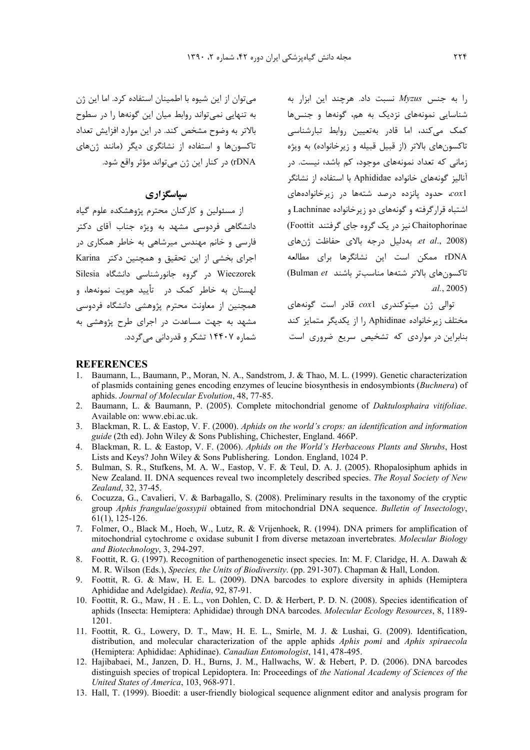$\mu$ را به جنس  $Myzus$  نسبت داد. هرچند این ابزار به شناسایی نمونههای نزدیک به هم، گونهها و جنسها كمك مى كند، اما قادر بەتعيين روابط تبارشناسى تاکسونهای بالاتر (از قبیل قبیله و زیرخانواده) به ویژه زمانی که تعداد نمونههای موجود، کم باشد، نیست. در آنالیز گونههای خانواده Aphididae با استفاده از نشانگر در زیرخانوادههای تحدود پانزده در مستهها در اشتباه قرارگرفته و گونههای دو زیرخانواده Lachninae و Chaitophorinae نیز در یک گروه جای گرفتند Foottit)  $et \, al.,\, 2008)$  بهدليل درجه بالاي حفاظت ژنهای. rDNA ممكن است اين نشانگرها براي مطالعه تاكسون هاى بالاتر شتهها مناسبتر باشند Bulman et)  $al., 2005)$ 

توالی ژن میتوکندری coxl قادر است گونههای مختلف زیرخانواده Aphidinae را از یکدیگر متمایز کند بنابراین در مواردی که تشخیص سریع ضروری است

می توان از این شیوه با اطمینان استفاده کرد. اما این ژن به تنهایی نمی تواند روابط میان این گونهها را در سطوح بالاتر به وضوح مشخص کند. در این موارد افزایش تعداد تاکسونها و استفاده از نشانگری دیگر (مانند ژنهای rDNA) در کنار این ژن می تواند مؤثر واقع شود.

# سیاسگز اری

از مسئولین و کارکنان محترم پژوهشکده علوم گیاه دانشگاهی فردوسی مشهد به ویژه جناب آقای دکتر .<br>فارسی و خانم مهندس میرشاهی به خاطر همکاری در اجرای بخشی از این تحقیق و همچنین دکتر Karina Wieczorek در گروه جانورشناسی دانشگاه Silesia لهستان به خاطر کمک در هتأیید هویت نمونهها، و همچنین از معاونت محترم پژوهشی دانشگاه فردوسی مشهد به جهت مساعدت در اجرای طرح پژوهشی به شماره ۱۴۴۰۷ تشکر و قدردانی می گردد.

#### **REFERENCES**

- Baumann, L., Baumann, P., Moran, N. A., Sandstrom, J. & Thao, M. L. (1999). Genetic characterization  $1$ of plasmids containing genes encoding enzymes of leucine biosynthesis in endosymbionts (Buchnera) of aphids. Journal of Molecular Evolution, 48, 77-85.
- 2. Baumann, L. & Baumann, P. (2005). Complete mitochondrial genome of *Daktulosphaira vitifoliae*. Available on: www.ebi.ac.uk.
- 3. Blackman, R. L. & Eastop, V. F. (2000). Aphids on the world's crops: an identification and information guide (2th ed). John Wiley & Sons Publishing, Chichester, England. 466P.
- 4. Blackman, R. L. & Eastop, V. F. (2006). Aphids on the World's Herbaceous Plants and Shrubs, Host Lists and Keys? John Wiley & Sons Publishering. London. England, 1024 P.
- 5. Bulman, S. R., Stufkens, M. A. W., Eastop, V. F. & Teul, D. A. J. (2005). Rhopalosiphum aphids in New Zealand. II. DNA sequences reveal two incompletely described species. The Royal Society of New Zealand, 32, 37-45.
- 6. Cocuzza, G., Cavalieri, V. & Barbagallo, S. (2008). Preliminary results in the taxonomy of the cryptic group Aphis frangulae/gossypii obtained from mitochondrial DNA sequence. Bulletin of Insectology,  $61(1)$ , 125-126.
- 7. Folmer, O., Black M., Hoeh, W., Lutz, R. & Vrijenhoek, R. (1994). DNA primers for amplification of mitochondrial cytochrome c oxidase subunit I from diverse metazoan invertebrates. Molecular Biology and Biotechnology, 3, 294-297.
- 8. Foottit, R. G. (1997). Recognition of parthenogenetic insect species. In: M. F. Claridge, H. A. Dawah & M. R. Wilson (Eds.), Species, the Units of Biodiversity. (pp. 291-307). Chapman & Hall, London.
- Foottit, R. G. & Maw, H. E. L. (2009). DNA barcodes to explore diversity in aphids (Hemiptera 9 Aphididae and Adelgidae). Redia, 92, 87-91.
- 10. Foottit, R. G., Maw, H. E. L., von Dohlen, C. D. & Herbert, P. D. N. (2008). Species identification of aphids (Insecta: Hemiptera: Aphididae) through DNA barcodes. Molecular Ecology Resources, 8, 1189-1201.
- 11. Foottit, R. G., Lowery, D. T., Maw, H. E. L., Smirle, M. J. & Lushai, G. (2009). Identification, distribution, and molecular characterization of the apple aphids Aphis pomi and Aphis spiraecola (Hemiptera: Aphididae: Aphidinae). Canadian Entomologist, 141, 478-495.
- 12. Hajibabaei, M., Janzen, D. H., Burns, J. M., Hallwachs, W. & Hebert, P. D. (2006). DNA barcodes distinguish species of tropical Lepidoptera. In: Proceedings of the National Academy of Sciences of the United States of America, 103, 968-971.
- 13. Hall, T. (1999). Bioedit: a user-friendly biological sequence alignment editor and analysis program for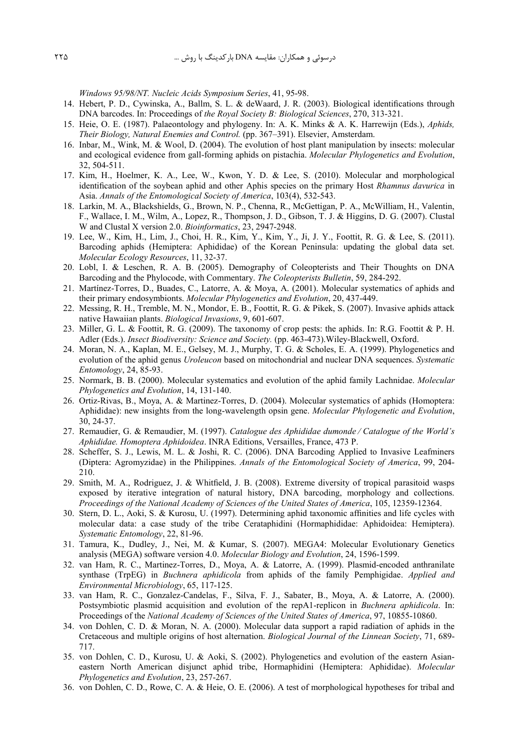*Windows 95/98/NT. Nucleic Acids Symposium Series*, 41, 95-98.

- 14. Hebert, P. D., Cywinska, A., Ballm, S. L. & deWaard, J. R. (2003). Biological identifications through DNA barcodes. In: Proceedings of *the Royal Society B: Biological Sciences*, 270, 313-321.
- 15. Heie, O. E. (1987). Palaeontology and phylogeny. In: A. K. Minks & A. K. Harrewijn (Eds.), *Aphids, Their Biology, Natural Enemies and Control.* (pp. 367–391). Elsevier, Amsterdam.
- 16. Inbar, M., Wink, M. & Wool, D. (2004). The evolution of host plant manipulation by insects: molecular and ecological evidence from gall-forming aphids on pistachia. *Molecular Phylogenetics and Evolution*, 32, 504-511.
- 17. Kim, H., Hoelmer, K. A., Lee, W., Kwon, Y. D. & Lee, S. (2010). Molecular and morphological identification of the soybean aphid and other Aphis species on the primary Host *Rhamnus davurica* in Asia. *Annals of the Entomological Society of America*, 103(4), 532-543.
- 18. Larkin, M. A., Blackshields, G., Brown, N. P., Chenna, R., McGettigan, P. A., McWilliam, H., Valentin, F., Wallace, I. M., Wilm, A., Lopez, R., Thompson, J. D., Gibson, T. J. & Higgins, D. G. (2007). Clustal W and Clustal X version 2.0. *Bioinformatics*, 23, 2947-2948.
- 19. Lee, W., Kim, H., Lim, J., Choi, H. R., Kim, Y., Kim, Y., Ji, J. Y., Foottit, R. G. & Lee, S. (2011). Barcoding aphids (Hemiptera: Aphididae) of the Korean Peninsula: updating the global data set. *Molecular Ecology Resources*, 11, 32-37.
- 20. Lobl, I. & Leschen, R. A. B. (2005). Demography of Coleopterists and Their Thoughts on DNA Barcoding and the Phylocode, with Commentary. *The Coleopterists Bulletin*, 59, 284-292.
- 21. Martínez-Torres, D., Buades, C., Latorre, A. & Moya, A. (2001). Molecular systematics of aphids and their primary endosymbionts. *Molecular Phylogenetics and Evolution*, 20, 437-449.
- 22. Messing, R. H., Tremble, M. N., Mondor, E. B., Foottit, R. G. & Pikek, S. (2007). Invasive aphids attack native Hawaiian plants. *Biological Invasions*, 9, 601-607.
- 23. Miller, G. L. & Foottit, R. G. (2009). The taxonomy of crop pests: the aphids. In: R.G. Foottit & P. H. Adler (Eds.). *Insect Biodiversity: Science and Society.* (pp. 463-473).Wiley-Blackwell, Oxford.
- 24. Moran, N. A., Kaplan, M. E., Gelsey, M. J., Murphy, T. G. & Scholes, E. A. (1999). Phylogenetics and evolution of the aphid genus *Uroleucon* based on mitochondrial and nuclear DNA sequences. *Systematic Entomology*, 24, 85-93.
- 25. Normark, B. B. (2000). Molecular systematics and evolution of the aphid family Lachnidae. *Molecular Phylogenetics and Evolution*, 14, 131-140.
- 26. Ortiz-Rivas, B., Moya, A. & Martinez-Torres, D. (2004). Molecular systematics of aphids (Homoptera: Aphididae): new insights from the long-wavelength opsin gene. *Molecular Phylogenetic and Evolution*, 30, 24-37.
- 27. Remaudier, G. & Remaudier, M. (1997). *Catalogue des Aphididae dumonde 7 Catalogue of the World's Aphididae. Homoptera Aphidoidea*. INRA Editions, Versailles, France, 473 P.
- 28. Scheffer, S. J., Lewis, M. L. & Joshi, R. C. (2006). DNA Barcoding Applied to Invasive Leafminers (Diptera: Agromyzidae) in the Philippines. *Annals of the Entomological Society of America*, 99, 204- 210.
- 29. Smith, M. A., Rodriguez, J. & Whitfield, J. B. (2008). Extreme diversity of tropical parasitoid wasps exposed by iterative integration of natural history, DNA barcoding, morphology and collections. *Proceedings of the National Academy of Sciences of the United States of America*, 105, 12359-12364.
- 30. Stern, D. L., Aoki, S. & Kurosu, U. (1997). Determining aphid taxonomic affinities and life cycles with molecular data: a case study of the tribe Cerataphidini (Hormaphididae: Aphidoidea: Hemiptera). *Systematic Entomology*, 22, 81-96.
- 31. Tamura, K., Dudley, J., Nei, M. & Kumar, S. (2007). MEGA4: Molecular Evolutionary Genetics analysis (MEGA) software version 4.0. *Molecular Biology and Evolution*, 24, 1596-1599.
- 32. van Ham, R. C., Martinez-Torres, D., Moya, A. & Latorre, A. (1999). Plasmid-encoded anthranilate synthase (TrpEG) in *Buchnera aphidicola* from aphids of the family Pemphigidae. *Applied and Environmental Microbiology*, 65, 117-125.
- 33. van Ham, R. C., Gonzalez-Candelas, F., Silva, F. J., Sabater, B., Moya, A. & Latorre, A. (2000). Postsymbiotic plasmid acquisition and evolution of the repA1-replicon in *Buchnera aphidicola*. In: Proceedings of the *National Academy of Sciences of the United States of America*, 97, 10855-10860.
- 34. von Dohlen, C. D. & Moran, N. A. (2000). Molecular data support a rapid radiation of aphids in the Cretaceous and multiple origins of host alternation. *Biological Journal of the Linnean Society*, 71, 689- 717.
- 35. von Dohlen, C. D., Kurosu, U. & Aoki, S. (2002). Phylogenetics and evolution of the eastern Asianeastern North American disjunct aphid tribe, Hormaphidini (Hemiptera: Aphididae). *Molecular Phylogenetics and Evolution*, 23, 257-267.
- 36. von Dohlen, C. D., Rowe, C. A. & Heie, O. E. (2006). A test of morphological hypotheses for tribal and